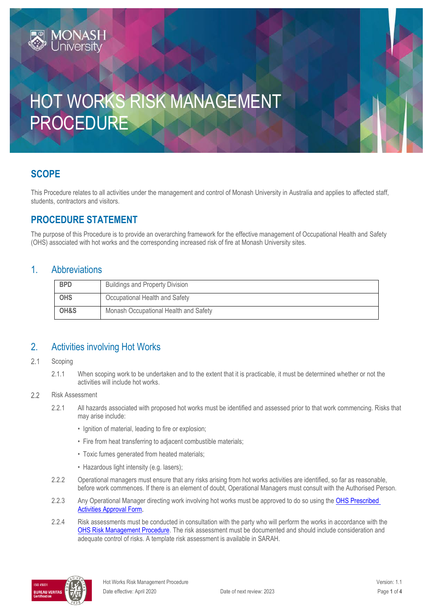# HOT WORKS RISK MANAGEMENT PROCEDURE

# **SCOPE**

This Procedure relates to all activities under the management and control of Monash University in Australia and applies to affected staff, students, contractors and visitors.

# **PROCEDURE STATEMENT**

**IONASH** 

The purpose of this Procedure is to provide an overarching framework for the effective management of Occupational Health and Safety (OHS) associated with hot works and the corresponding increased risk of fire at Monash University sites.

#### 1. Abbreviations

| <b>BPD</b> | <b>Buildings and Property Division</b> |  |
|------------|----------------------------------------|--|
|            |                                        |  |
| <b>OHS</b> | Occupational Health and Safety         |  |
|            |                                        |  |
| OH&S       | Monash Occupational Health and Safety  |  |
|            |                                        |  |

### 2. Activities involving Hot Works

#### $2.1$ Scoping

2.1.1 When scoping work to be undertaken and to the extent that it is practicable, it must be determined whether or not the activities will include hot works.

#### Risk Assessment  $2.2$

- 2.2.1 All hazards associated with proposed hot works must be identified and assessed prior to that work commencing. Risks that may arise include:
	- Ignition of material, leading to fire or explosion:
	- Fire from heat transferring to adjacent combustible materials;
	- Toxic fumes generated from heated materials;
	- Hazardous light intensity (e.g. lasers);
- 2.2.2 Operational managers must ensure that any risks arising from hot works activities are identified, so far as reasonable, before work commences. If there is an element of doubt, Operational Managers must consult with the Authorised Person.
- 2.2.3 Any Operational Manager directing work involving hot works must be approved to do so using the OHS Prescribed [Activities Approval Form.](https://forms.apps.monash.edu/frevvo/web/tn/monash.edu/u/3916c41d-b945-486a-aa56-3a1b2d38f492/app/_U8fbkKaIEeiCS-jJ9nTCoA/flowtype/_GN14YMaeEeipXY-P0bohrQ?_method=post&embed=true)
- 2.2.4 Risk assessments must be conducted in consultation with the party who will perform the works in accordance with the [OHS Risk Management Procedure.](https://publicpolicydms.monash.edu/Monash/documents/1935636) The risk assessment must be documented and should include consideration and adequate control of risks. A template risk assessment is available in SARAH.

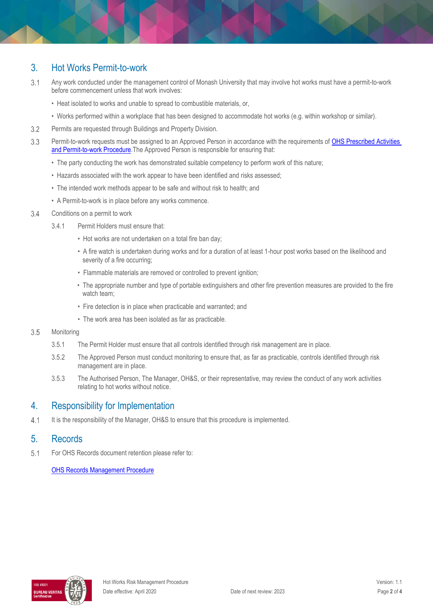## 3. Hot Works Permit-to-work

- $3.1$ Any work conducted under the management control of Monash University that may involve hot works must have a permit-to-work before commencement unless that work involves:
	- Heat isolated to works and unable to spread to combustible materials, or,
	- Works performed within a workplace that has been designed to accommodate hot works (e.g. within workshop or similar).
- $3.2$ Permits are requested through Buildings and Property Division.
- 3.3 Permit-to-work requests must be assigned to an Approved Person in accordance with the requirements of OHS Prescribed Activities and Permit-to-work Procedure. The Approved Person is responsible for ensuring that:
	- The party conducting the work has demonstrated suitable competency to perform work of this nature;
	- Hazards associated with the work appear to have been identified and risks assessed;
	- The intended work methods appear to be safe and without risk to health; and
	- A Permit-to-work is in place before any works commence.
- $3.4$ Conditions on a permit to work
	- 3.4.1 Permit Holders must ensure that:
		- Hot works are not undertaken on a total fire ban day;
		- A fire watch is undertaken during works and for a duration of at least 1-hour post works based on the likelihood and severity of a fire occurring;
		- Flammable materials are removed or controlled to prevent ignition;
		- The appropriate number and type of portable extinguishers and other fire prevention measures are provided to the fire watch team;
		- Fire detection is in place when practicable and warranted; and
		- The work area has been isolated as far as practicable.
- 3.5 **Monitoring** 
	- 3.5.1 The Permit Holder must ensure that all controls identified through risk management are in place.
	- 3.5.2 The Approved Person must conduct monitoring to ensure that, as far as practicable, controls identified through risk management are in place.
	- 3.5.3 The Authorised Person, The Manager, OH&S, or their representative, may review the conduct of any work activities relating to hot works without notice.

#### 4. Responsibility for Implementation

 $4.1$ It is the responsibility of the Manager, OH&S to ensure that this procedure is implemented.

#### 5. Records

 $5.1$ For OHS Records document retention please refer to:

[OHS Records Management Procedure](https://publicpolicydms.monash.edu/Monash/documents/1935642)

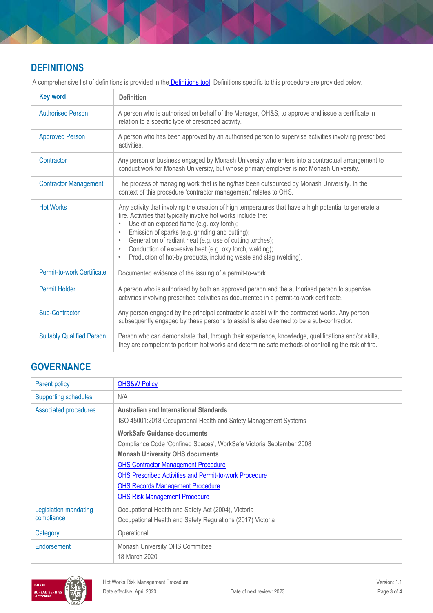# **DEFINITIONS**

| <b>Key word</b>                  | <b>Definition</b>                                                                                                                                                                                                                                                                                                                                                                                                                                                                                                                       |
|----------------------------------|-----------------------------------------------------------------------------------------------------------------------------------------------------------------------------------------------------------------------------------------------------------------------------------------------------------------------------------------------------------------------------------------------------------------------------------------------------------------------------------------------------------------------------------------|
| <b>Authorised Person</b>         | A person who is authorised on behalf of the Manager, OH&S, to approve and issue a certificate in<br>relation to a specific type of prescribed activity.                                                                                                                                                                                                                                                                                                                                                                                 |
| <b>Approved Person</b>           | A person who has been approved by an authorised person to supervise activities involving prescribed<br>activities.                                                                                                                                                                                                                                                                                                                                                                                                                      |
| Contractor                       | Any person or business engaged by Monash University who enters into a contractual arrangement to<br>conduct work for Monash University, but whose primary employer is not Monash University.                                                                                                                                                                                                                                                                                                                                            |
| <b>Contractor Management</b>     | The process of managing work that is being/has been outsourced by Monash University. In the<br>context of this procedure 'contractor management' relates to OHS.                                                                                                                                                                                                                                                                                                                                                                        |
| <b>Hot Works</b>                 | Any activity that involving the creation of high temperatures that have a high potential to generate a<br>fire. Activities that typically involve hot works include the:<br>Use of an exposed flame (e.g. oxy torch);<br>$\bullet$<br>Emission of sparks (e.g. grinding and cutting);<br>$\bullet$<br>Generation of radiant heat (e.g. use of cutting torches);<br>$\bullet$<br>Conduction of excessive heat (e.g. oxy torch, welding);<br>$\bullet$<br>Production of hot-by products, including waste and slag (welding).<br>$\bullet$ |
| Permit-to-work Certificate       | Documented evidence of the issuing of a permit-to-work.                                                                                                                                                                                                                                                                                                                                                                                                                                                                                 |
| <b>Permit Holder</b>             | A person who is authorised by both an approved person and the authorised person to supervise<br>activities involving prescribed activities as documented in a permit-to-work certificate.                                                                                                                                                                                                                                                                                                                                               |
| Sub-Contractor                   | Any person engaged by the principal contractor to assist with the contracted works. Any person<br>subsequently engaged by these persons to assist is also deemed to be a sub-contractor.                                                                                                                                                                                                                                                                                                                                                |
| <b>Suitably Qualified Person</b> | Person who can demonstrate that, through their experience, knowledge, qualifications and/or skills,<br>they are competent to perform hot works and determine safe methods of controlling the risk of fire.                                                                                                                                                                                                                                                                                                                              |

A comprehensive list of definitions is provided in the **Definitions tool**. Definitions specific to this procedure are provided below.

# **GOVERNANCE**

| Parent policy                       | <b>OHS&amp;W Policy</b>                                                                                                                                                                           |
|-------------------------------------|---------------------------------------------------------------------------------------------------------------------------------------------------------------------------------------------------|
| <b>Supporting schedules</b>         | N/A                                                                                                                                                                                               |
| <b>Associated procedures</b>        | <b>Australian and International Standards</b><br>ISO 45001:2018 Occupational Health and Safety Management Systems                                                                                 |
|                                     | <b>WorkSafe Guidance documents</b><br>Compliance Code 'Confined Spaces', WorkSafe Victoria September 2008<br><b>Monash University OHS documents</b><br><b>OHS Contractor Management Procedure</b> |
|                                     | <b>OHS Prescribed Activities and Permit-to-work Procedure</b><br><b>OHS Records Management Procedure</b><br><b>OHS Risk Management Procedure</b>                                                  |
| Legislation mandating<br>compliance | Occupational Health and Safety Act (2004), Victoria<br>Occupational Health and Safety Regulations (2017) Victoria                                                                                 |
| Category                            | Operational                                                                                                                                                                                       |
| Endorsement                         | Monash University OHS Committee<br>18 March 2020                                                                                                                                                  |